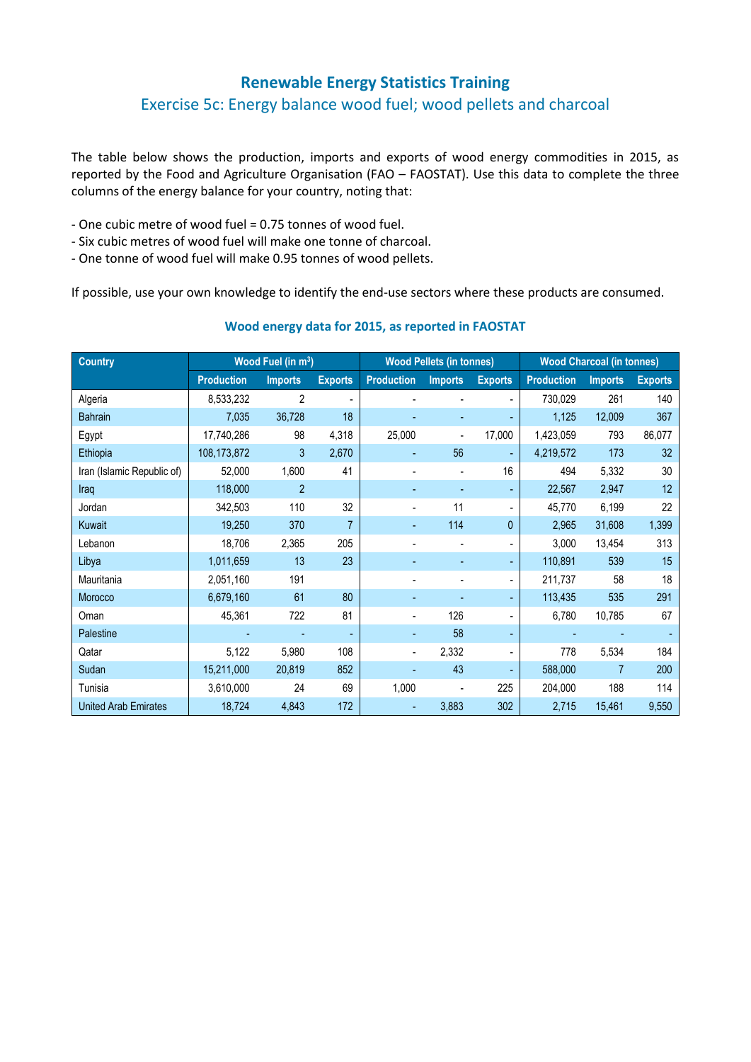# **Renewable Energy Statistics Training**

# Exercise 5c: Energy balance wood fuel; wood pellets and charcoal

The table below shows the production, imports and exports of wood energy commodities in 2015, as reported by the Food and Agriculture Organisation (FAO – FAOSTAT). Use this data to complete the three columns of the energy balance for your country, noting that:

- One cubic metre of wood fuel = 0.75 tonnes of wood fuel.
- Six cubic metres of wood fuel will make one tonne of charcoal.
- One tonne of wood fuel will make 0.95 tonnes of wood pellets.

If possible, use your own knowledge to identify the end-use sectors where these products are consumed.

| <b>Country</b>              | Wood Fuel (in m <sup>3</sup> ) |                |                | <b>Wood Pellets (in tonnes)</b> |                |                | <b>Wood Charcoal (in tonnes)</b> |                |                |
|-----------------------------|--------------------------------|----------------|----------------|---------------------------------|----------------|----------------|----------------------------------|----------------|----------------|
|                             | <b>Production</b>              | <b>Imports</b> | <b>Exports</b> | <b>Production</b>               | <b>Imports</b> | <b>Exports</b> | <b>Production</b>                | <b>Imports</b> | <b>Exports</b> |
| Algeria                     | 8,533,232                      | 2              |                |                                 |                |                | 730,029                          | 261            | 140            |
| <b>Bahrain</b>              | 7,035                          | 36,728         | 18             |                                 |                |                | 1,125                            | 12,009         | 367            |
| Egypt                       | 17,740,286                     | 98             | 4,318          | 25,000                          |                | 17,000         | 1,423,059                        | 793            | 86,077         |
| Ethiopia                    | 108,173,872                    | 3              | 2,670          |                                 | 56             |                | 4,219,572                        | 173            | 32             |
| Iran (Islamic Republic of)  | 52,000                         | 1,600          | 41             |                                 |                | 16             | 494                              | 5,332          | 30             |
| Iraq                        | 118,000                        | $\overline{2}$ |                |                                 |                |                | 22,567                           | 2,947          | 12             |
| Jordan                      | 342,503                        | 110            | 32             |                                 | 11             |                | 45,770                           | 6,199          | 22             |
| Kuwait                      | 19,250                         | 370            |                |                                 | 114            | $\mathbf{0}$   | 2,965                            | 31,608         | 1,399          |
| Lebanon                     | 18,706                         | 2,365          | 205            |                                 |                |                | 3,000                            | 13,454         | 313            |
| Libya                       | 1,011,659                      | 13             | 23             |                                 |                |                | 110,891                          | 539            | 15             |
| Mauritania                  | 2,051,160                      | 191            |                |                                 |                |                | 211,737                          | 58             | 18             |
| Morocco                     | 6,679,160                      | 61             | 80             |                                 |                |                | 113,435                          | 535            | 291            |
| Oman                        | 45,361                         | 722            | 81             |                                 | 126            |                | 6,780                            | 10,785         | 67             |
| Palestine                   |                                |                |                |                                 | 58             |                |                                  |                |                |
| Qatar                       | 5,122                          | 5,980          | 108            |                                 | 2,332          |                | 778                              | 5,534          | 184            |
| Sudan                       | 15,211,000                     | 20,819         | 852            |                                 | 43             |                | 588,000                          | $\overline{7}$ | 200            |
| Tunisia                     | 3,610,000                      | 24             | 69             | 1,000                           |                | 225            | 204,000                          | 188            | 114            |
| <b>United Arab Emirates</b> | 18,724                         | 4,843          | 172            |                                 | 3,883          | 302            | 2,715                            | 15,461         | 9,550          |

#### **Wood energy data for 2015, as reported in FAOSTAT**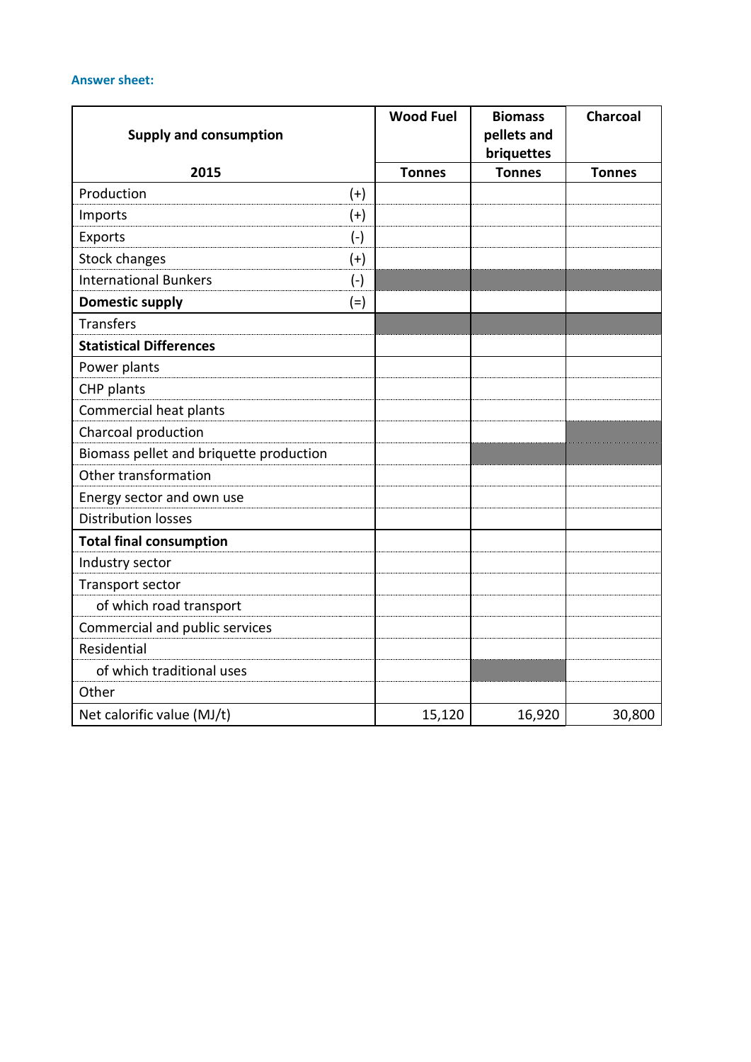### **Answer sheet:**

| <b>Supply and consumption</b>           |           | <b>Wood Fuel</b> | <b>Biomass</b><br>pellets and<br>briquettes | <b>Charcoal</b> |
|-----------------------------------------|-----------|------------------|---------------------------------------------|-----------------|
| 2015                                    |           | <b>Tonnes</b>    | <b>Tonnes</b>                               | <b>Tonnes</b>   |
| Production                              | $(+)$     |                  |                                             |                 |
| Imports                                 | $(+)$     |                  |                                             |                 |
| Exports                                 | $(\cdot)$ |                  |                                             |                 |
| <b>Stock changes</b>                    | $^{(+)}$  |                  |                                             |                 |
| <b>International Bunkers</b>            | $(-)$     |                  |                                             |                 |
| <b>Domestic supply</b>                  | $(=)$     |                  |                                             |                 |
| <b>Transfers</b>                        |           |                  |                                             |                 |
| <b>Statistical Differences</b>          |           |                  |                                             |                 |
| Power plants                            |           |                  |                                             |                 |
| CHP plants                              |           |                  |                                             |                 |
| Commercial heat plants                  |           |                  |                                             |                 |
| Charcoal production                     |           |                  |                                             |                 |
| Biomass pellet and briquette production |           |                  |                                             |                 |
| Other transformation                    |           |                  |                                             |                 |
| Energy sector and own use               |           |                  |                                             |                 |
| <b>Distribution losses</b>              |           |                  |                                             |                 |
| <b>Total final consumption</b>          |           |                  |                                             |                 |
| Industry sector                         |           |                  |                                             |                 |
| Transport sector                        |           |                  |                                             |                 |
| of which road transport                 |           |                  |                                             |                 |
| Commercial and public services          |           |                  |                                             |                 |
| Residential                             |           |                  |                                             |                 |
| of which traditional uses               |           |                  |                                             |                 |
| Other                                   |           |                  |                                             |                 |
| Net calorific value (MJ/t)              |           | 15,120           | 16,920                                      | 30,800          |